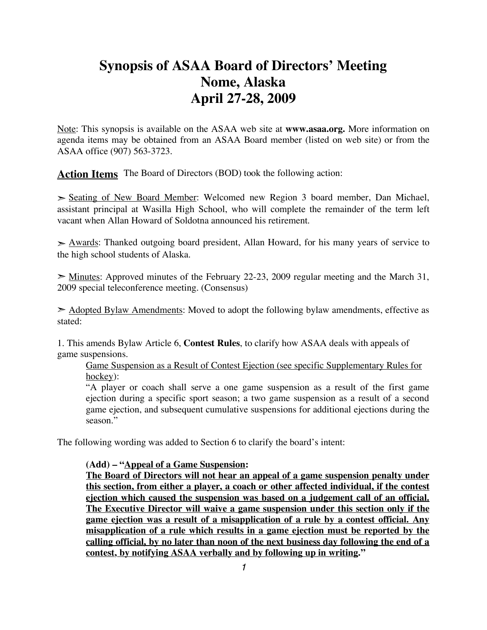# **Synopsis of ASAA Board of Directors' Meeting Nome, Alaska April 27-28, 2009**

Note: This synopsis is available on the ASAA web site at **www.asaa.org.** More information on agenda items may be obtained from an ASAA Board member (listed on web site) or from the ASAA office (907) 563-3723.

**Action Items** The Board of Directors (BOD) took the following action:

➣ Seating of New Board Member: Welcomed new Region 3 board member, Dan Michael, assistant principal at Wasilla High School, who will complete the remainder of the term left vacant when Allan Howard of Soldotna announced his retirement.

 $\geq$  Awards: Thanked outgoing board president, Allan Howard, for his many years of service to the high school students of Alaska.

 $\geq$  Minutes: Approved minutes of the February 22-23, 2009 regular meeting and the March 31, 2009 special teleconference meeting. (Consensus)

 $\geq$  Adopted Bylaw Amendments: Moved to adopt the following bylaw amendments, effective as stated:

1. This amends Bylaw Article 6, **Contest Rules**, to clarify how ASAA deals with appeals of game suspensions.

Game Suspension as a Result of Contest Ejection (see specific Supplementary Rules for hockey):

"A player or coach shall serve a one game suspension as a result of the first game ejection during a specific sport season; a two game suspension as a result of a second game ejection, and subsequent cumulative suspensions for additional ejections during the season."

The following wording was added to Section 6 to clarify the board's intent:

#### **(Add) – "Appeal of a Game Suspension:**

**The Board of Directors will not hear an appeal of a game suspension penalty under this section, from either a player, a coach or other affected individual, if the contest ejection which caused the suspension was based on a judgement call of an official. The Executive Director will waive a game suspension under this section only if the game ejection was a result of a misapplication of a rule by a contest official. Any misapplication of a rule which results in a game ejection must be reported by the calling official, by no later than noon of the next business day following the end of a contest, by notifying ASAA verbally and by following up in writing."**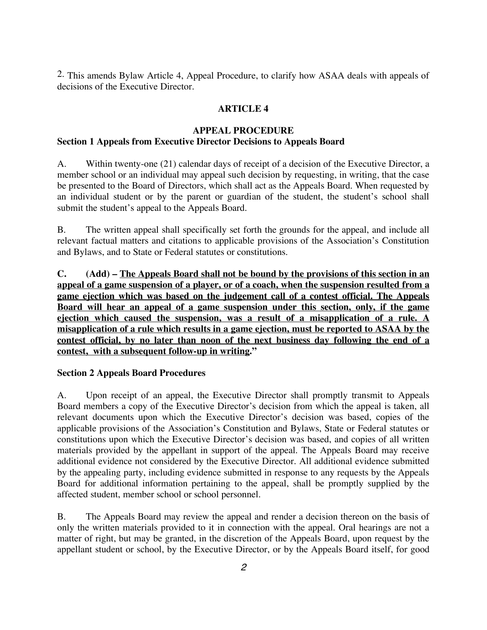2. This amends Bylaw Article 4, Appeal Procedure, to clarify how ASAA deals with appeals of decisions of the Executive Director.

## **ARTICLE 4**

## **APPEAL PROCEDURE**

## **Section 1 Appeals from Executive Director Decisions to Appeals Board**

A. Within twenty-one (21) calendar days of receipt of a decision of the Executive Director, a member school or an individual may appeal such decision by requesting, in writing, that the case be presented to the Board of Directors, which shall act as the Appeals Board. When requested by an individual student or by the parent or guardian of the student, the student's school shall submit the student's appeal to the Appeals Board.

B. The written appeal shall specifically set forth the grounds for the appeal, and include all relevant factual matters and citations to applicable provisions of the Association's Constitution and Bylaws, and to State or Federal statutes or constitutions.

**C. (Add) – The Appeals Board shall not be bound by the provisions of this section in an appeal of a game suspension of a player, or of a coach, when the suspension resulted from a game ejection which was based on the judgement call of a contest official. The Appeals Board will hear an appeal of a game suspension under this section, only, if the game ejection which caused the suspension, was a result of a misapplication of a rule. A misapplication of a rule which results in a game ejection, must be reported to ASAA by the contest official, by no later than noon of the next business day following the end of a contest, with a subsequent follow-up in writing."**

## **Section 2 Appeals Board Procedures**

A. Upon receipt of an appeal, the Executive Director shall promptly transmit to Appeals Board members a copy of the Executive Director's decision from which the appeal is taken, all relevant documents upon which the Executive Director's decision was based, copies of the applicable provisions of the Association's Constitution and Bylaws, State or Federal statutes or constitutions upon which the Executive Director's decision was based, and copies of all written materials provided by the appellant in support of the appeal. The Appeals Board may receive additional evidence not considered by the Executive Director. All additional evidence submitted by the appealing party, including evidence submitted in response to any requests by the Appeals Board for additional information pertaining to the appeal, shall be promptly supplied by the affected student, member school or school personnel.

B. The Appeals Board may review the appeal and render a decision thereon on the basis of only the written materials provided to it in connection with the appeal. Oral hearings are not a matter of right, but may be granted, in the discretion of the Appeals Board, upon request by the appellant student or school, by the Executive Director, or by the Appeals Board itself, for good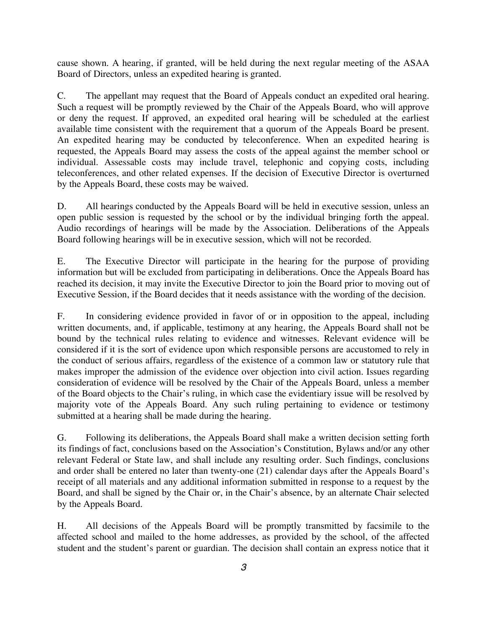cause shown. A hearing, if granted, will be held during the next regular meeting of the ASAA Board of Directors, unless an expedited hearing is granted.

C. The appellant may request that the Board of Appeals conduct an expedited oral hearing. Such a request will be promptly reviewed by the Chair of the Appeals Board, who will approve or deny the request. If approved, an expedited oral hearing will be scheduled at the earliest available time consistent with the requirement that a quorum of the Appeals Board be present. An expedited hearing may be conducted by teleconference. When an expedited hearing is requested, the Appeals Board may assess the costs of the appeal against the member school or individual. Assessable costs may include travel, telephonic and copying costs, including teleconferences, and other related expenses. If the decision of Executive Director is overturned by the Appeals Board, these costs may be waived.

D. All hearings conducted by the Appeals Board will be held in executive session, unless an open public session is requested by the school or by the individual bringing forth the appeal. Audio recordings of hearings will be made by the Association. Deliberations of the Appeals Board following hearings will be in executive session, which will not be recorded.

E. The Executive Director will participate in the hearing for the purpose of providing information but will be excluded from participating in deliberations. Once the Appeals Board has reached its decision, it may invite the Executive Director to join the Board prior to moving out of Executive Session, if the Board decides that it needs assistance with the wording of the decision.

F. In considering evidence provided in favor of or in opposition to the appeal, including written documents, and, if applicable, testimony at any hearing, the Appeals Board shall not be bound by the technical rules relating to evidence and witnesses. Relevant evidence will be considered if it is the sort of evidence upon which responsible persons are accustomed to rely in the conduct of serious affairs, regardless of the existence of a common law or statutory rule that makes improper the admission of the evidence over objection into civil action. Issues regarding consideration of evidence will be resolved by the Chair of the Appeals Board, unless a member of the Board objects to the Chair's ruling, in which case the evidentiary issue will be resolved by majority vote of the Appeals Board. Any such ruling pertaining to evidence or testimony submitted at a hearing shall be made during the hearing.

G. Following its deliberations, the Appeals Board shall make a written decision setting forth its findings of fact, conclusions based on the Association's Constitution, Bylaws and/or any other relevant Federal or State law, and shall include any resulting order. Such findings, conclusions and order shall be entered no later than twenty-one (21) calendar days after the Appeals Board's receipt of all materials and any additional information submitted in response to a request by the Board, and shall be signed by the Chair or, in the Chair's absence, by an alternate Chair selected by the Appeals Board.

H. All decisions of the Appeals Board will be promptly transmitted by facsimile to the affected school and mailed to the home addresses, as provided by the school, of the affected student and the student's parent or guardian. The decision shall contain an express notice that it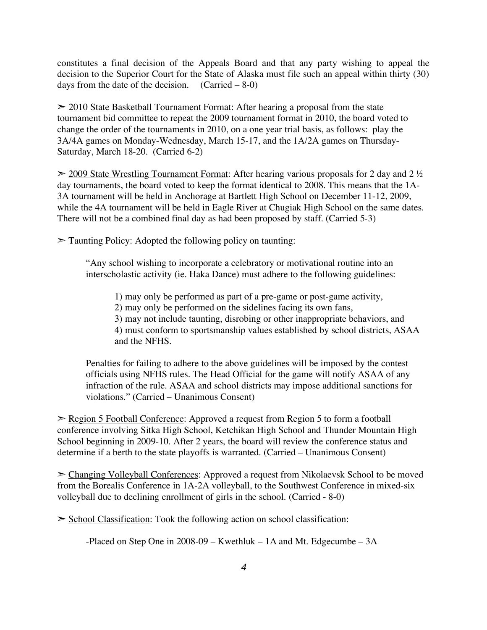constitutes a final decision of the Appeals Board and that any party wishing to appeal the decision to the Superior Court for the State of Alaska must file such an appeal within thirty (30) days from the date of the decision.  $(Carried – 8-0)$ 

 $\geq$  2010 State Basketball Tournament Format: After hearing a proposal from the state tournament bid committee to repeat the 2009 tournament format in 2010, the board voted to change the order of the tournaments in 2010, on a one year trial basis, as follows: play the 3A/4A games on Monday-Wednesday, March 15-17, and the 1A/2A games on Thursday-Saturday, March 18-20. (Carried 6-2)

 $\geq$  2009 State Wrestling Tournament Format: After hearing various proposals for 2 day and 2  $\frac{1}{2}$ day tournaments, the board voted to keep the format identical to 2008. This means that the 1A-3A tournament will be held in Anchorage at Bartlett High School on December 11-12, 2009, while the 4A tournament will be held in Eagle River at Chugiak High School on the same dates. There will not be a combined final day as had been proposed by staff. (Carried 5-3)

 $\geq$  Taunting Policy: Adopted the following policy on taunting:

"Any school wishing to incorporate a celebratory or motivational routine into an interscholastic activity (ie. Haka Dance) must adhere to the following guidelines:

1) may only be performed as part of a pre-game or post-game activity, 2) may only be performed on the sidelines facing its own fans, 3) may not include taunting, disrobing or other inappropriate behaviors, and 4) must conform to sportsmanship values established by school districts, ASAA and the NFHS.

Penalties for failing to adhere to the above guidelines will be imposed by the contest officials using NFHS rules. The Head Official for the game will notify ASAA of any infraction of the rule. ASAA and school districts may impose additional sanctions for violations." (Carried – Unanimous Consent)

➣ Region 5 Football Conference: Approved a request from Region 5 to form a football conference involving Sitka High School, Ketchikan High School and Thunder Mountain High School beginning in 2009-10. After 2 years, the board will review the conference status and determine if a berth to the state playoffs is warranted. (Carried – Unanimous Consent)

➣ Changing Volleyball Conferences: Approved a request from Nikolaevsk School to be moved from the Borealis Conference in 1A-2A volleyball, to the Southwest Conference in mixed-six volleyball due to declining enrollment of girls in the school. (Carried - 8-0)

 $\geq$  School Classification: Took the following action on school classification:

-Placed on Step One in 2008-09 – Kwethluk – 1A and Mt. Edgecumbe – 3A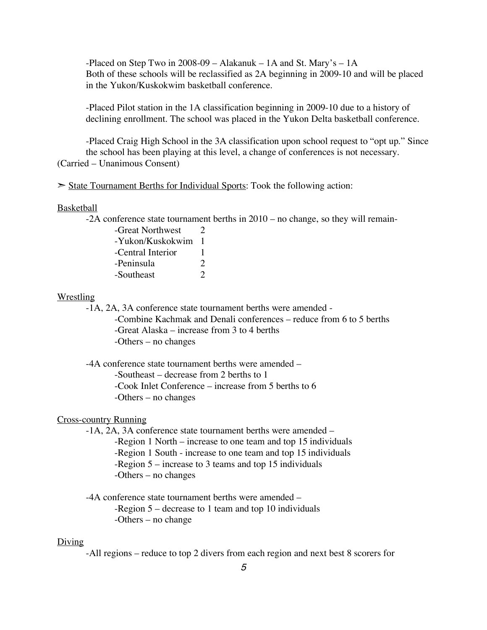-Placed on Step Two in 2008-09 – Alakanuk – 1A and St. Mary's – 1A Both of these schools will be reclassified as 2A beginning in 2009-10 and will be placed in the Yukon/Kuskokwim basketball conference.

-Placed Pilot station in the 1A classification beginning in 2009-10 due to a history of declining enrollment. The school was placed in the Yukon Delta basketball conference.

-Placed Craig High School in the 3A classification upon school request to "opt up." Since the school has been playing at this level, a change of conferences is not necessary. (Carried – Unanimous Consent)

 $\geq$  State Tournament Berths for Individual Sports: Took the following action:

#### Basketball

-2A conference state tournament berths in 2010 – no change, so they will remain-

| -Great Northwest  | $\mathcal{L}$ |
|-------------------|---------------|
| -Yukon/Kuskokwim  | -1            |
| -Central Interior | Ŧ             |
| -Peninsula        | 2             |
| -Southeast        | $\gamma$      |

#### **Wrestling**

-1A, 2A, 3A conference state tournament berths were amended -

-Combine Kachmak and Denali conferences – reduce from 6 to 5 berths -Great Alaska – increase from 3 to 4 berths -Others – no changes

-4A conference state tournament berths were amended – -Southeast – decrease from 2 berths to 1

-Cook Inlet Conference – increase from 5 berths to 6

-Others – no changes

#### Cross-country Running

-1A, 2A, 3A conference state tournament berths were amended –

-Region 1 North – increase to one team and top 15 individuals

-Region 1 South - increase to one team and top 15 individuals

-Region 5 – increase to 3 teams and top 15 individuals

-Others – no changes

-4A conference state tournament berths were amended –

-Region 5 – decrease to 1 team and top 10 individuals

-Others – no change

#### Diving

-All regions – reduce to top 2 divers from each region and next best 8 scorers for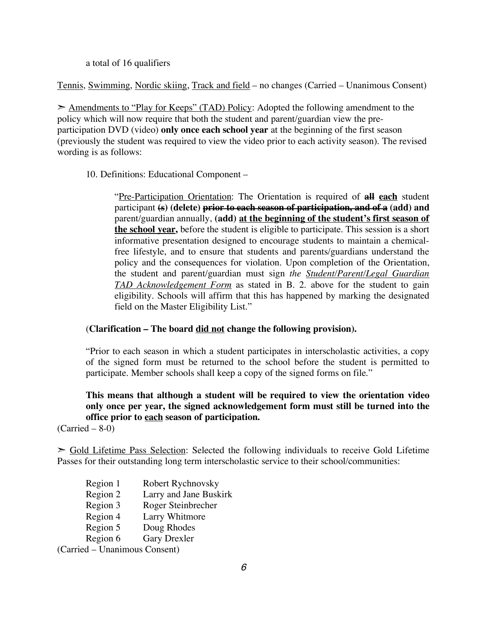a total of 16 qualifiers

Tennis, Swimming, Nordic skiing, Track and field – no changes (Carried – Unanimous Consent)

► Amendments to "Play for Keeps" (TAD) Policy: Adopted the following amendment to the policy which will now require that both the student and parent/guardian view the preparticipation DVD (video) **only once each school year** at the beginning of the first season (previously the student was required to view the video prior to each activity season). The revised wording is as follows:

10. Definitions: Educational Component –

"Pre-Participation Orientation: The Orientation is required of **all each** student participant **(s) (delete) prior to each season of participation, and of a (add) and** parent/guardian annually, **(add) at the beginning of the student's first season of the school year,** before the student is eligible to participate. This session is a short informative presentation designed to encourage students to maintain a chemicalfree lifestyle, and to ensure that students and parents/guardians understand the policy and the consequences for violation. Upon completion of the Orientation, the student and parent/guardian must sign *the Student/Parent/Legal Guardian TAD Acknowledgement Form* as stated in B. 2. above for the student to gain eligibility. Schools will affirm that this has happened by marking the designated field on the Master Eligibility List."

#### (**Clarification – The board did not change the following provision).**

"Prior to each season in which a student participates in interscholastic activities, a copy of the signed form must be returned to the school before the student is permitted to participate. Member schools shall keep a copy of the signed forms on file."

## **This means that although a student will be required to view the orientation video only once per year, the signed acknowledgement form must still be turned into the office prior to each season of participation.**

 $(Carried – 8-0)$ 

 $\geq$  Gold Lifetime Pass Selection: Selected the following individuals to receive Gold Lifetime Passes for their outstanding long term interscholastic service to their school/communities:

- Region 1 Robert Rychnovsky
- Region 2 Larry and Jane Buskirk
- Region 3 Roger Steinbrecher
- Region 4 Larry Whitmore
- Region 5 Doug Rhodes
- Region 6 Gary Drexler

(Carried – Unanimous Consent)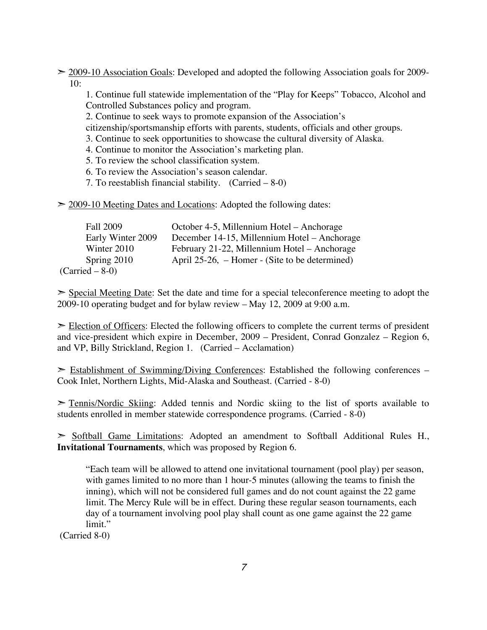$\geq$  2009-10 Association Goals: Developed and adopted the following Association goals for 2009-10:

1. Continue full statewide implementation of the "Play for Keeps" Tobacco, Alcohol and Controlled Substances policy and program.

2. Continue to seek ways to promote expansion of the Association's

citizenship/sportsmanship efforts with parents, students, officials and other groups.

- 3. Continue to seek opportunities to showcase the cultural diversity of Alaska.
- 4. Continue to monitor the Association's marketing plan.
- 5. To review the school classification system.
- 6. To review the Association's season calendar.
- 7. To reestablish financial stability. (Carried 8-0)

 $\geq$  2009-10 Meeting Dates and Locations: Adopted the following dates:

| <b>Fall 2009</b>  | October 4-5, Millennium Hotel – Anchorage      |
|-------------------|------------------------------------------------|
| Early Winter 2009 | December 14-15, Millennium Hotel – Anchorage   |
| Winter 2010       | February 21-22, Millennium Hotel – Anchorage   |
| Spring 2010       | April 25-26, – Homer - (Site to be determined) |
| $(Carried – 8-0)$ |                                                |

 $\geq$  Special Meeting Date: Set the date and time for a special teleconference meeting to adopt the 2009-10 operating budget and for bylaw review – May 12, 2009 at 9:00 a.m.

 $\geq$  Election of Officers: Elected the following officers to complete the current terms of president and vice-president which expire in December, 2009 – President, Conrad Gonzalez – Region 6, and VP, Billy Strickland, Region 1. (Carried – Acclamation)

 $\ge$  Establishment of Swimming/Diving Conferences: Established the following conferences – Cook Inlet, Northern Lights, Mid-Alaska and Southeast. (Carried - 8-0)

 $\geq$  Tennis/Nordic Skiing: Added tennis and Nordic skiing to the list of sports available to students enrolled in member statewide correspondence programs. (Carried - 8-0)

➣ Softball Game Limitations: Adopted an amendment to Softball Additional Rules H., **Invitational Tournaments**, which was proposed by Region 6.

"Each team will be allowed to attend one invitational tournament (pool play) per season, with games limited to no more than 1 hour-5 minutes (allowing the teams to finish the inning), which will not be considered full games and do not count against the 22 game limit. The Mercy Rule will be in effect. During these regular season tournaments, each day of a tournament involving pool play shall count as one game against the 22 game limit."

(Carried 8-0)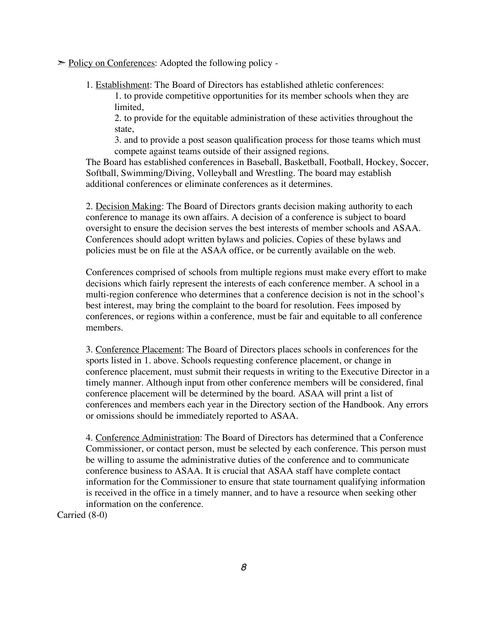► Policy on Conferences: Adopted the following policy -

1. Establishment: The Board of Directors has established athletic conferences:

1. to provide competitive opportunities for its member schools when they are limited,

2. to provide for the equitable administration of these activities throughout the state,

3. and to provide a post season qualification process for those teams which must compete against teams outside of their assigned regions.

The Board has established conferences in Baseball, Basketball, Football, Hockey, Soccer, Softball, Swimming/Diving, Volleyball and Wrestling. The board may establish additional conferences or eliminate conferences as it determines.

2. Decision Making: The Board of Directors grants decision making authority to each conference to manage its own affairs. A decision of a conference is subject to board oversight to ensure the decision serves the best interests of member schools and ASAA. Conferences should adopt written bylaws and policies. Copies of these bylaws and policies must be on file at the ASAA office, or be currently available on the web.

Conferences comprised of schools from multiple regions must make every effort to make decisions which fairly represent the interests of each conference member. A school in a multi-region conference who determines that a conference decision is not in the school's best interest, may bring the complaint to the board for resolution. Fees imposed by conferences, or regions within a conference, must be fair and equitable to all conference members.

3. Conference Placement: The Board of Directors places schools in conferences for the sports listed in 1. above. Schools requesting conference placement, or change in conference placement, must submit their requests in writing to the Executive Director in a timely manner. Although input from other conference members will be considered, final conference placement will be determined by the board. ASAA will print a list of conferences and members each year in the Directory section of the Handbook. Any errors or omissions should be immediately reported to ASAA.

4. Conference Administration: The Board of Directors has determined that a Conference Commissioner, or contact person, must be selected by each conference. This person must be willing to assume the administrative duties of the conference and to communicate conference business to ASAA. It is crucial that ASAA staff have complete contact information for the Commissioner to ensure that state tournament qualifying information is received in the office in a timely manner, and to have a resource when seeking other information on the conference.

Carried (8-0)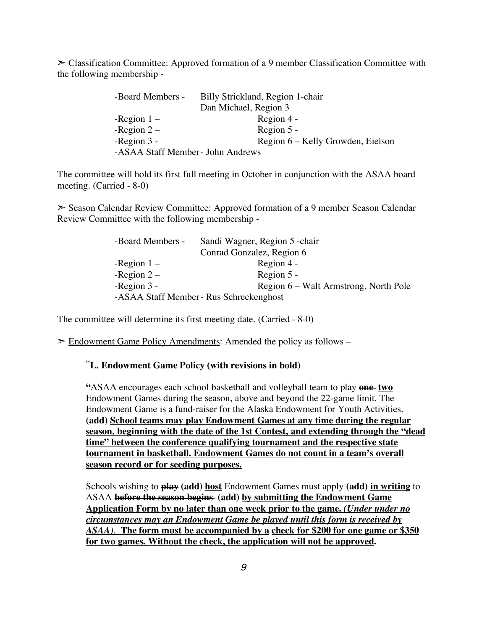$\geq$  Classification Committee: Approved formation of a 9 member Classification Committee with the following membership -

| -Board Members -                 | Billy Strickland, Region 1-chair  |
|----------------------------------|-----------------------------------|
|                                  | Dan Michael, Region 3             |
| -Region $1 -$                    | Region 4 -                        |
| -Region $2-$                     | Region 5 -                        |
| -Region $3 -$                    | Region 6 – Kelly Growden, Eielson |
| -ASAA Staff Member- John Andrews |                                   |

The committee will hold its first full meeting in October in conjunction with the ASAA board meeting. (Carried - 8-0)

➣ Season Calendar Review Committee: Approved formation of a 9 member Season Calendar Review Committee with the following membership -

| -Board Members - | Sandi Wagner, Region 5 - chair          |
|------------------|-----------------------------------------|
|                  | Conrad Gonzalez, Region 6               |
| -Region $1 -$    | Region 4 -                              |
| -Region $2-$     | Region 5 -                              |
| -Region $3$ -    | Region 6 – Walt Armstrong, North Pole   |
|                  | -ASAA Staff Member - Rus Schreckenghost |

The committee will determine its first meeting date. (Carried - 8-0)

➣ Endowment Game Policy Amendments: Amended the policy as follows –

### "**L. Endowment Game Policy (with revisions in bold)**

**"**ASAA encourages each school basketball and volleyball team to play **one two** Endowment Games during the season, above and beyond the 22-game limit. The Endowment Game is a fund-raiser for the Alaska Endowment for Youth Activities. **(add) School teams may play Endowment Games at any time during the regular season, beginning with the date of the 1st Contest, and extending through the "dead time" between the conference qualifying tournament and the respective state tournament in basketball. Endowment Games do not count in a team's overall season record or for seeding purposes.**

Schools wishing to **play (add) host** Endowment Games must apply **(add) in writing** to ASAA **before the season begins (add) by submitting the Endowment Game Application Form by no later than one week prior to the game.** *(Under under no circumstances may an Endowment Game be played until this form is received by ASAA).* **The form must be accompanied by a check for \$200 for one game or \$350 for two games. Without the check, the application will not be approved.**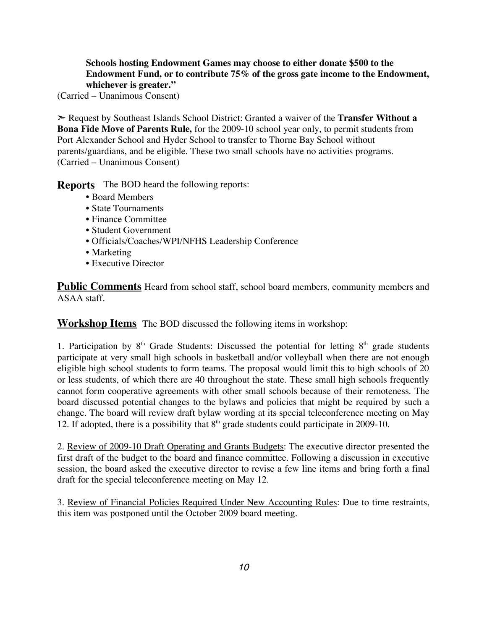#### **Schools hosting Endowment Games may choose to either donate \$500 to the Endowment Fund, or to contribute 75% of the gross gate income to the Endowment, whichever is greater."**

(Carried – Unanimous Consent)

➣ Request by Southeast Islands School District: Granted a waiver of the **Transfer Without a Bona Fide Move of Parents Rule,** for the 2009-10 school year only, to permit students from Port Alexander School and Hyder School to transfer to Thorne Bay School without parents/guardians, and be eligible. These two small schools have no activities programs. (Carried – Unanimous Consent)

**Reports** The BOD heard the following reports:

- Board Members
- State Tournaments
- Finance Committee
- Student Government
- Officials/Coaches/WPI/NFHS Leadership Conference
- Marketing
- Executive Director

**Public Comments** Heard from school staff, school board members, community members and ASAA staff.

**Workshop Items** The BOD discussed the following items in workshop:

1. Participation by  $8<sup>th</sup>$  Grade Students: Discussed the potential for letting  $8<sup>th</sup>$  grade students participate at very small high schools in basketball and/or volleyball when there are not enough eligible high school students to form teams. The proposal would limit this to high schools of 20 or less students, of which there are 40 throughout the state. These small high schools frequently cannot form cooperative agreements with other small schools because of their remoteness. The board discussed potential changes to the bylaws and policies that might be required by such a change. The board will review draft bylaw wording at its special teleconference meeting on May 12. If adopted, there is a possibility that  $8<sup>th</sup>$  grade students could participate in 2009-10.

2. Review of 2009-10 Draft Operating and Grants Budgets: The executive director presented the first draft of the budget to the board and finance committee. Following a discussion in executive session, the board asked the executive director to revise a few line items and bring forth a final draft for the special teleconference meeting on May 12.

3. Review of Financial Policies Required Under New Accounting Rules: Due to time restraints, this item was postponed until the October 2009 board meeting.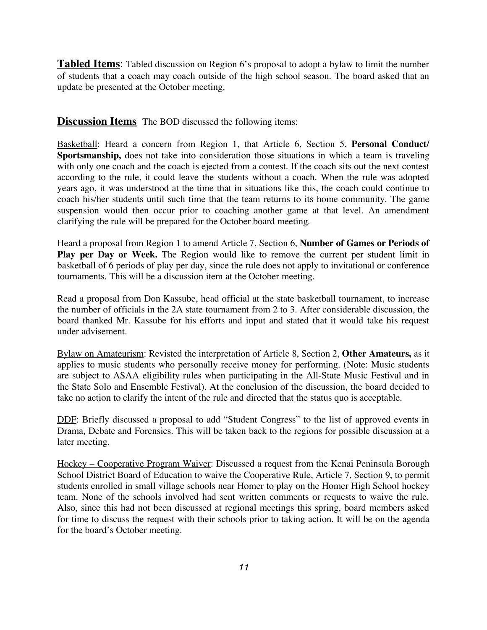**Tabled Items**: Tabled discussion on Region 6's proposal to adopt a bylaw to limit the number of students that a coach may coach outside of the high school season. The board asked that an update be presented at the October meeting.

**Discussion Items** The BOD discussed the following items:

Basketball: Heard a concern from Region 1, that Article 6, Section 5, **Personal Conduct/ Sportsmanship,** does not take into consideration those situations in which a team is traveling with only one coach and the coach is ejected from a contest. If the coach sits out the next contest according to the rule, it could leave the students without a coach. When the rule was adopted years ago, it was understood at the time that in situations like this, the coach could continue to coach his/her students until such time that the team returns to its home community. The game suspension would then occur prior to coaching another game at that level. An amendment clarifying the rule will be prepared for the October board meeting.

Heard a proposal from Region 1 to amend Article 7, Section 6, **Number of Games or Periods of Play per Day or Week.** The Region would like to remove the current per student limit in basketball of 6 periods of play per day, since the rule does not apply to invitational or conference tournaments. This will be a discussion item at the October meeting.

Read a proposal from Don Kassube, head official at the state basketball tournament, to increase the number of officials in the 2A state tournament from 2 to 3. After considerable discussion, the board thanked Mr. Kassube for his efforts and input and stated that it would take his request under advisement.

Bylaw on Amateurism: Revisted the interpretation of Article 8, Section 2, **Other Amateurs,** as it applies to music students who personally receive money for performing. (Note: Music students are subject to ASAA eligibility rules when participating in the All-State Music Festival and in the State Solo and Ensemble Festival). At the conclusion of the discussion, the board decided to take no action to clarify the intent of the rule and directed that the status quo is acceptable.

DDF: Briefly discussed a proposal to add "Student Congress" to the list of approved events in Drama, Debate and Forensics. This will be taken back to the regions for possible discussion at a later meeting.

Hockey – Cooperative Program Waiver: Discussed a request from the Kenai Peninsula Borough School District Board of Education to waive the Cooperative Rule, Article 7, Section 9, to permit students enrolled in small village schools near Homer to play on the Homer High School hockey team. None of the schools involved had sent written comments or requests to waive the rule. Also, since this had not been discussed at regional meetings this spring, board members asked for time to discuss the request with their schools prior to taking action. It will be on the agenda for the board's October meeting.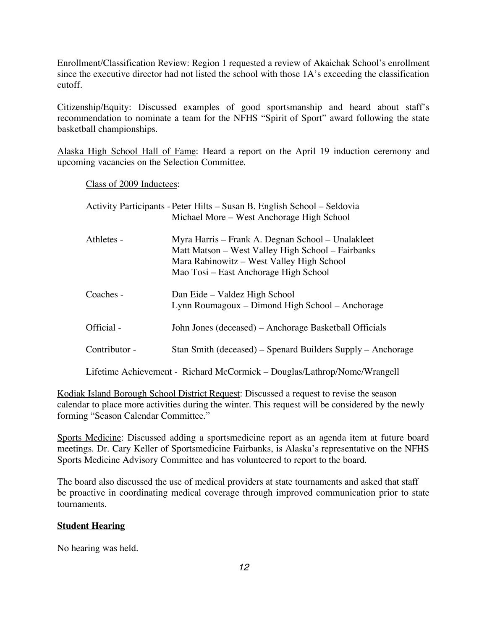Enrollment/Classification Review: Region 1 requested a review of Akaichak School's enrollment since the executive director had not listed the school with those 1A's exceeding the classification cutoff.

Citizenship/Equity: Discussed examples of good sportsmanship and heard about staff's recommendation to nominate a team for the NFHS "Spirit of Sport" award following the state basketball championships.

Alaska High School Hall of Fame: Heard a report on the April 19 induction ceremony and upcoming vacancies on the Selection Committee.

Class of 2009 Inductees:

|               | Activity Participants - Peter Hilts – Susan B. English School – Seldovia<br>Michael More – West Anchorage High School                                                                        |
|---------------|----------------------------------------------------------------------------------------------------------------------------------------------------------------------------------------------|
| Athletes -    | Myra Harris – Frank A. Degnan School – Unalakleet<br>Matt Matson – West Valley High School – Fairbanks<br>Mara Rabinowitz – West Valley High School<br>Mao Tosi – East Anchorage High School |
| Coaches -     | Dan Eide – Valdez High School<br>Lynn Roumagoux – Dimond High School – Anchorage                                                                                                             |
| Official -    | John Jones (deceased) – Anchorage Basketball Officials                                                                                                                                       |
| Contributor - | Stan Smith (deceased) – Spenard Builders Supply – Anchorage                                                                                                                                  |
|               | Lifetime Achievement - Richard McCormick – Douglas/Lathrop/Nome/Wrangell                                                                                                                     |

Kodiak Island Borough School District Request: Discussed a request to revise the season calendar to place more activities during the winter. This request will be considered by the newly forming "Season Calendar Committee."

Sports Medicine: Discussed adding a sportsmedicine report as an agenda item at future board meetings. Dr. Cary Keller of Sportsmedicine Fairbanks, is Alaska's representative on the NFHS Sports Medicine Advisory Committee and has volunteered to report to the board.

The board also discussed the use of medical providers at state tournaments and asked that staff be proactive in coordinating medical coverage through improved communication prior to state tournaments.

#### **Student Hearing**

No hearing was held.